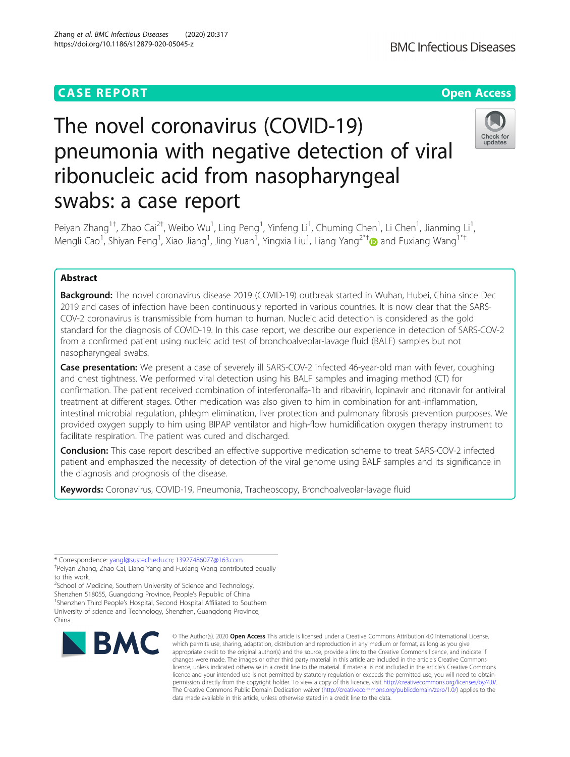## **CASE REPORT CASE ACCESS**

# The novel coronavirus (COVID-19) pneumonia with negative detection of viral ribonucleic acid from nasopharyngeal swabs: a case report



Peiyan Zhang<sup>1†</sup>, Zhao Cai<sup>2†</sup>, Weibo Wu<sup>1</sup>, Ling Peng<sup>1</sup>, Yinfeng Li<sup>1</sup>, Chuming Chen<sup>1</sup>, Li Chen<sup>1</sup>, Jianming Li<sup>1</sup> , Mengli Cao<sup>1</sup>, Shiyan Feng<sup>1</sup>, Xiao Jiang<sup>1</sup>, Jing Yuan<sup>1</sup>, Yingxia Liu<sup>1</sup>, Liang Yang<sup>2\*†</sup>@ and Fuxiang Wang<sup>1\*†</sup>

### Abstract

Background: The novel coronavirus disease 2019 (COVID-19) outbreak started in Wuhan, Hubei, China since Dec 2019 and cases of infection have been continuously reported in various countries. It is now clear that the SARS-COV-2 coronavirus is transmissible from human to human. Nucleic acid detection is considered as the gold standard for the diagnosis of COVID-19. In this case report, we describe our experience in detection of SARS-COV-2 from a confirmed patient using nucleic acid test of bronchoalveolar-lavage fluid (BALF) samples but not nasopharyngeal swabs.

Case presentation: We present a case of severely ill SARS-COV-2 infected 46-year-old man with fever, coughing and chest tightness. We performed viral detection using his BALF samples and imaging method (CT) for confirmation. The patient received combination of interferonalfa-1b and ribavirin, lopinavir and ritonavir for antiviral treatment at different stages. Other medication was also given to him in combination for anti-inflammation, intestinal microbial regulation, phlegm elimination, liver protection and pulmonary fibrosis prevention purposes. We provided oxygen supply to him using BIPAP ventilator and high-flow humidification oxygen therapy instrument to facilitate respiration. The patient was cured and discharged.

Conclusion: This case report described an effective supportive medication scheme to treat SARS-COV-2 infected patient and emphasized the necessity of detection of the viral genome using BALF samples and its significance in the diagnosis and prognosis of the disease.

Keywords: Coronavirus, COVID-19, Pneumonia, Tracheoscopy, Bronchoalveolar-lavage fluid

\* Correspondence: [yangl@sustech.edu.cn](mailto:yangl@sustech.edu.cn); [13927486077@163.com](mailto:13927486077@163.com) †

Peiyan Zhang, Zhao Cai, Liang Yang and Fuxiang Wang contributed equally to this work.

<sup>2</sup>School of Medicine, Southern University of Science and Technology, Shenzhen 518055, Guangdong Province, People's Republic of China <sup>1</sup> <sup>1</sup>Shenzhen Third People's Hospital, Second Hospital Affiliated to Southern University of science and Technology, Shenzhen, Guangdong Province, China



© The Author(s), 2020 **Open Access** This article is licensed under a Creative Commons Attribution 4.0 International License, which permits use, sharing, adaptation, distribution and reproduction in any medium or format, as long as you give appropriate credit to the original author(s) and the source, provide a link to the Creative Commons licence, and indicate if changes were made. The images or other third party material in this article are included in the article's Creative Commons licence, unless indicated otherwise in a credit line to the material. If material is not included in the article's Creative Commons licence and your intended use is not permitted by statutory regulation or exceeds the permitted use, you will need to obtain permission directly from the copyright holder. To view a copy of this licence, visit [http://creativecommons.org/licenses/by/4.0/.](http://creativecommons.org/licenses/by/4.0/) The Creative Commons Public Domain Dedication waiver [\(http://creativecommons.org/publicdomain/zero/1.0/](http://creativecommons.org/publicdomain/zero/1.0/)) applies to the data made available in this article, unless otherwise stated in a credit line to the data.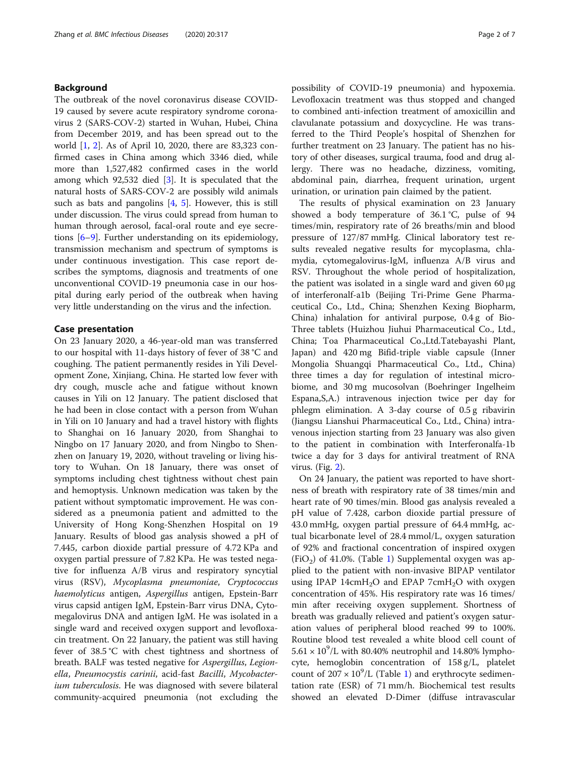#### Background

The outbreak of the novel coronavirus disease COVID-19 caused by severe acute respiratory syndrome coronavirus 2 (SARS-COV-2) started in Wuhan, Hubei, China from December 2019, and has been spread out to the world [[1,](#page-6-0) [2](#page-6-0)]. As of April 10, 2020, there are 83,323 confirmed cases in China among which 3346 died, while more than 1,527,482 confirmed cases in the world among which 92,532 died [[3\]](#page-6-0). It is speculated that the natural hosts of SARS-COV-2 are possibly wild animals such as bats and pangolins  $[4, 5]$  $[4, 5]$  $[4, 5]$  $[4, 5]$ . However, this is still under discussion. The virus could spread from human to human through aerosol, facal-oral route and eye secretions [[6](#page-6-0)–[9\]](#page-6-0). Further understanding on its epidemiology, transmission mechanism and spectrum of symptoms is under continuous investigation. This case report describes the symptoms, diagnosis and treatments of one unconventional COVID-19 pneumonia case in our hospital during early period of the outbreak when having very little understanding on the virus and the infection.

#### Case presentation

On 23 January 2020, a 46-year-old man was transferred to our hospital with 11-days history of fever of 38 °C and coughing. The patient permanently resides in Yili Development Zone, Xinjiang, China. He started low fever with dry cough, muscle ache and fatigue without known causes in Yili on 12 January. The patient disclosed that he had been in close contact with a person from Wuhan in Yili on 10 January and had a travel history with flights to Shanghai on 16 January 2020, from Shanghai to Ningbo on 17 January 2020, and from Ningbo to Shenzhen on January 19, 2020, without traveling or living history to Wuhan. On 18 January, there was onset of symptoms including chest tightness without chest pain and hemoptysis. Unknown medication was taken by the patient without symptomatic improvement. He was considered as a pneumonia patient and admitted to the University of Hong Kong-Shenzhen Hospital on 19 January. Results of blood gas analysis showed a pH of 7.445, carbon dioxide partial pressure of 4.72 KPa and oxygen partial pressure of 7.82 KPa. He was tested negative for influenza A/B virus and respiratory syncytial virus (RSV), Mycoplasma pneumoniae, Cryptococcus haemolyticus antigen, Aspergillus antigen, Epstein-Barr virus capsid antigen IgM, Epstein-Barr virus DNA, Cytomegalovirus DNA and antigen IgM. He was isolated in a single ward and received oxygen support and levofloxacin treatment. On 22 January, the patient was still having fever of 38.5 °C with chest tightness and shortness of breath. BALF was tested negative for Aspergillus, Legionella, Pneumocystis carinii, acid-fast Bacilli, Mycobacterium tuberculosis. He was diagnosed with severe bilateral community-acquired pneumonia (not excluding the

possibility of COVID-19 pneumonia) and hypoxemia. Levofloxacin treatment was thus stopped and changed to combined anti-infection treatment of amoxicillin and clavulanate potassium and doxycycline. He was transferred to the Third People's hospital of Shenzhen for further treatment on 23 January. The patient has no history of other diseases, surgical trauma, food and drug allergy. There was no headache, dizziness, vomiting, abdominal pain, diarrhea, frequent urination, urgent urination, or urination pain claimed by the patient.

The results of physical examination on 23 January showed a body temperature of 36.1 °C, pulse of 94 times/min, respiratory rate of 26 breaths/min and blood pressure of 127/87 mmHg. Clinical laboratory test results revealed negative results for mycoplasma, chlamydia, cytomegalovirus-IgM, influenza A/B virus and RSV. Throughout the whole period of hospitalization, the patient was isolated in a single ward and given 60 μg of interferonalf-a1b (Beijing Tri-Prime Gene Pharmaceutical Co., Ltd., China; Shenzhen Kexing Biopharm, China) inhalation for antiviral purpose, 0.4 g of Bio-Three tablets (Huizhou Jiuhui Pharmaceutical Co., Ltd., China; Toa Pharmaceutical Co.,Ltd.Tatebayashi Plant, Japan) and 420 mg Bifid-triple viable capsule (Inner Mongolia Shuangqi Pharmaceutical Co., Ltd., China) three times a day for regulation of intestinal microbiome, and 30 mg mucosolvan (Boehringer Ingelheim Espana,S,A.) intravenous injection twice per day for phlegm elimination. A 3-day course of 0.5 g ribavirin (Jiangsu Lianshui Pharmaceutical Co., Ltd., China) intravenous injection starting from 23 January was also given to the patient in combination with Interferonalfa-1b twice a day for 3 days for antiviral treatment of RNA virus. (Fig. [2](#page-5-0)).

On 24 January, the patient was reported to have shortness of breath with respiratory rate of 38 times/min and heart rate of 90 times/min. Blood gas analysis revealed a pH value of 7.428, carbon dioxide partial pressure of 43.0 mmHg, oxygen partial pressure of 64.4 mmHg, actual bicarbonate level of 28.4 mmol/L, oxygen saturation of 92% and fractional concentration of inspired oxygen  $(FiO<sub>2</sub>)$  of 41.0%. (Table [1\)](#page-2-0) Supplemental oxygen was applied to the patient with non-invasive BIPAP ventilator using IPAP 14cm $H_2O$  and EPAP 7cm $H_2O$  with oxygen concentration of 45%. His respiratory rate was 16 times/ min after receiving oxygen supplement. Shortness of breath was gradually relieved and patient's oxygen saturation values of peripheral blood reached 99 to 100%. Routine blood test revealed a white blood cell count of  $5.61 \times 10^9$ /L with 80.40% neutrophil and 14.80% lymphocyte, hemoglobin concentration of 158 g/L, platelet count of  $207 \times 10^9$  $207 \times 10^9$  $207 \times 10^9$ /L (Table 1) and erythrocyte sedimentation rate (ESR) of 71 mm/h. Biochemical test results showed an elevated D-Dimer (diffuse intravascular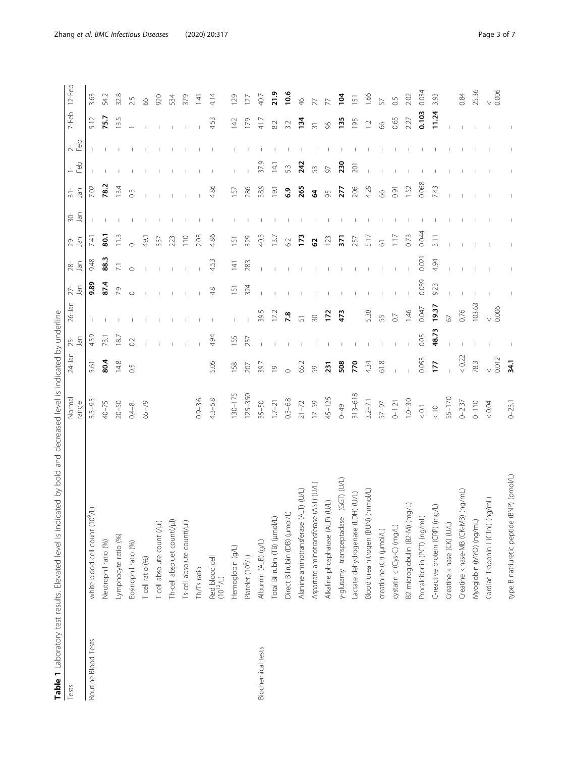| ֦<br>l<br>֡֡֡֡֡֡֡<br>١<br>j<br>$\overline{a}$<br>Ĵ<br>٢<br>ī<br>١<br>į<br>l<br>١<br>$\overline{ }$<br>l<br>I<br>j<br>١<br>Š<br>j<br>l<br>$\overline{\phantom{a}}$<br>j<br>$\frac{1}{2}$<br>ı<br>١<br>i<br>İ<br>j<br>١<br>I<br>j<br>I<br>j<br>Ì<br>J | I<br>ć<br>ć<br>ć<br>ł<br>i |
|-----------------------------------------------------------------------------------------------------------------------------------------------------------------------------------------------------------------------------------------------------|----------------------------|
| $\mathbf{I}$                                                                                                                                                                                                                                        |                            |

<span id="page-2-0"></span>

|                     | Table 1 Laboratory test results. Elevated level is indicated by bold and decreased level is indicated by underline |                 |                |               |                 |               |                 |                          |             |                             |               |                             |                  |                 |
|---------------------|--------------------------------------------------------------------------------------------------------------------|-----------------|----------------|---------------|-----------------|---------------|-----------------|--------------------------|-------------|-----------------------------|---------------|-----------------------------|------------------|-----------------|
| Tests               |                                                                                                                    | Normal<br>range | $24 - Jan$     | Jan<br>$25 -$ | $26 - Jan$      | Jan<br>$27 -$ | Jan<br>$28 -$   | $\overline{a}$<br>$29 -$ | $rac{1}{3}$ | Jan<br>$\frac{1}{\sqrt{2}}$ | $\frac{1}{2}$ | $\frac{1}{2}$ $\frac{1}{2}$ | 7-Feb            | $12-Feb$        |
| Routine Blood Tests | white blood cell count (10 <sup>9</sup> /L)                                                                        | $3.5 - 9.5$     | 5.61           | 4.59          |                 | 9.89          | 9.48            | 7.41                     |             | 7.02                        |               |                             | 5.12             | 3.63            |
|                     | Neutrophil ratio (%)                                                                                               | $40 - 75$       | 80.4           | 73.1          |                 | 87.4          | 88.3            | $\overline{5}$           |             | 78.2                        |               |                             | 75.7             | 54.2            |
|                     | Lymphocyte ratio (%)                                                                                               | $20 - 50$       | 14.8           | 18.7          |                 | 7.9           | $\overline{71}$ | $\frac{3}{1}$            |             | 13.4                        |               |                             | 13.5             | 32.8            |
|                     | Eosinophil ratio (%)                                                                                               | $0.4 - 8$       | $\overline{0}$ | 0.2           |                 | $\circ$       | $\circ$         |                          |             | $0.\overline{3}$            |               |                             |                  | 2.5             |
|                     | T cell ratio (%)                                                                                                   | $65 - 79$       |                |               |                 |               |                 | 49.1                     |             |                             |               |                             |                  | $8^{\circ}$     |
|                     | T cell absolute count (/µ)                                                                                         |                 |                |               |                 |               |                 | 337                      |             |                             |               |                             |                  | 920             |
|                     | Th-cell absoluet count(/µl)                                                                                        |                 |                |               |                 | $\mathbb{I}$  |                 | 223                      |             |                             |               |                             |                  | 534             |
|                     | Ts-cell absolute count(/µl)                                                                                        |                 |                |               |                 |               |                 | $\frac{1}{10}$           |             |                             |               |                             |                  | 379             |
|                     | Th/Ts ratio                                                                                                        | $0.9 - 3.6$     |                |               |                 |               |                 | 2.03                     |             |                             |               |                             |                  | 141             |
|                     | Red blood cell<br>$(10^{12}/L)$                                                                                    | $4.3 - 5.8$     | 5.05           | 4.94          |                 | 4.8           | 4.53            | 4.86                     |             | 4.86                        |               |                             | 4.53             | 4.14            |
|                     | Hemoglobin (g/L)                                                                                                   | 130-175         | 158            | 155           |                 | 151           | 141             | 151                      |             | 157                         |               |                             | $\overline{142}$ | 129             |
|                     | Platelet (10 <sup>9</sup> /L)                                                                                      | 125-350         | 207            | 257           |                 | 324           | 283             | 329                      |             | 286                         |               |                             | 179              | 127             |
| Biochemical tests   | Albumin (ALB) (g/L)                                                                                                | $35 - 50$       | 39.7           |               | 39.5            |               |                 | 40.3                     |             | 38.9                        | 37.9          |                             | 41.7             | 40.7            |
|                     | Total Bilirubin (TB) (µmol/L)                                                                                      | $1.7 - 21$      | $\overline{0}$ |               | 17.2            |               |                 | 13.7                     |             | 19.1                        | $\frac{1}{4}$ |                             | 82               | 21.9            |
|                     | Direct Bilirubin (DB) (µmol/L)                                                                                     | $0.3 - 6.8$     | $\circ$        |               | 7.8             |               |                 | 62                       |             | $\ddot{\rm o}$              | 53            |                             | 3.2              | 10.6            |
|                     | Alanine aminotransferase (ALT) (U/L)                                                                               | $21 - 72$       | 65.2           |               | 51              |               |                 | 173                      |             | 265                         | 242           |                             | 134              | $\frac{4}{5}$   |
|                     | (AST) (U/L)<br>Aspartate aminotransferase                                                                          | $17 - 59$       | 59             |               | $\overline{30}$ |               |                 | 3                        |             | $\mathbf{2}$                | 53            |                             |                  | 27              |
|                     | $\cup$<br>Alkaline phosphatase (ALP)                                                                               | $45 - 125$      | 231            |               | 172             |               |                 | 123                      |             | 95                          | 50            |                             | 86               |                 |
|                     | $(GST)$ $(U/L)$<br>y-glutamyl transpeptadase                                                                       | $6+0$           | 508            |               | 473             |               |                 | 371                      |             | 277                         | 230           |                             | 135              | İQ1             |
|                     | Lactate dehydrogenase (LDH) (U/L)                                                                                  | $313 - 618$     | 770            |               |                 |               |                 | 257                      |             | 206                         | 201           |                             | 195              | $\overline{15}$ |
|                     | Blood urea nitrogen (BUN) (mmol/L)                                                                                 | $3.2 - 7.1$     | 4.34           |               | 5.38            |               |                 | 5.17                     |             | 4.29                        |               |                             | $\overline{C}$   | 1.66            |
|                     | creatinine (Cr) (µmol/L)                                                                                           | 57-97           | 61.8           |               | 55              |               |                 | $\overline{6}$           |             | 89                          |               |                             | $8^{\circ}$      | 57              |
|                     | cystatin c (Cys-C) (mg/L)                                                                                          | $0 - 1.21$      |                |               | $\overline{0}$  |               |                 | 1.17                     |             | 0.91                        |               |                             | 0.65             | 0.5             |
|                     | B2 microglobulin (B2-M) (mg/L)                                                                                     | $1.0 - 3.0$     |                |               | 1.46            |               |                 | 0.73                     |             | 1.52                        |               |                             | 2.27             | 2.02            |
|                     | Procalcitonin (PCT) (ng/mL)                                                                                        | $< 0.1$         | 0.053          | 0.05          | 0.047           | 0.039         | 0.021           | 0.044                    |             | 0.068                       |               |                             | 0.103            | 0.034           |
|                     | C-reactive protein (CRP) (mg/L)                                                                                    | $\frac{10}{10}$ | 177            | 48.73         | 19.37           | 9.23          | 4.94            | 3.11                     |             | 7.43                        |               |                             | 11.24            | 3.93            |
|                     | Creatine kinase (CK) (U/L)                                                                                         | 55-170          |                |               | 67              |               |                 |                          |             |                             |               |                             |                  |                 |
|                     | Creatine kinase-MB (CK-MB) (ng/mL)                                                                                 | $0 - 2.37$      | < 0.22         |               | 0.76            |               |                 |                          |             |                             |               |                             |                  | 0.84            |
|                     | Myoglobin (MYO) (ng/mL)                                                                                            | $0 - 110$       | 78.3           |               | 103.63          |               |                 |                          |             |                             |               |                             |                  | 25.36           |
|                     | Cardiac Troponin I (CTnI) (ng/mL)                                                                                  | $<0.04$         | 0.012          |               | 0.006           |               |                 |                          |             |                             |               |                             |                  | 0.006           |
|                     | type B natriuretic peptide (BNP) (pmol/L)                                                                          | $0 - 23.1$      | 34.1           |               |                 |               |                 |                          |             |                             |               |                             |                  |                 |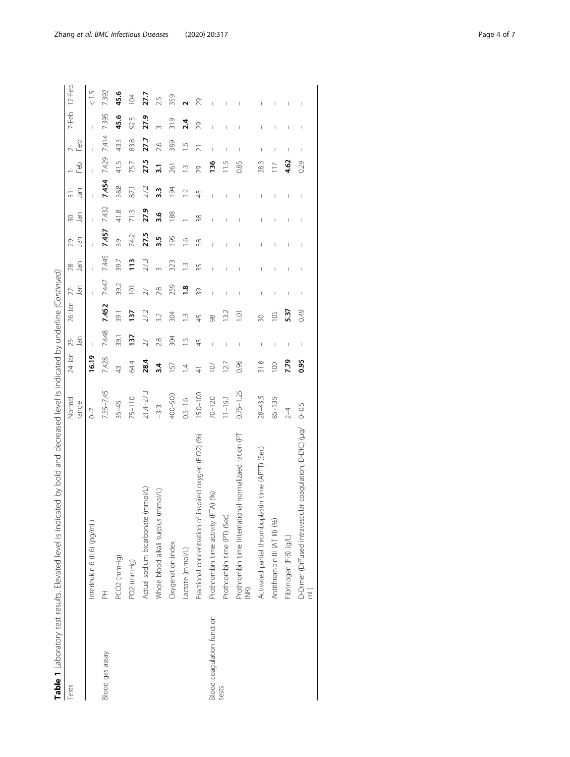|                            | Table 1 Laboratory test results. Elevated level is indicated by bold and decreased level is indicated by underline (Continued) |                 |                |                                       |               |                  |               |                                       |                |                |                |                          |                 |               |
|----------------------------|--------------------------------------------------------------------------------------------------------------------------------|-----------------|----------------|---------------------------------------|---------------|------------------|---------------|---------------------------------------|----------------|----------------|----------------|--------------------------|-----------------|---------------|
| Tests                      |                                                                                                                                | Normal<br>range | $24$ -Jan      | $25 -$<br>Jan                         | $26$ -Jan     | $27 -$<br>Jan    | Jan<br>28-    | Jan<br>29-                            | $30-$<br>Jan   | Jan            | de<br>F        | e9<br>⊢                  | 7-Feb           | $12-Feb$      |
|                            | Interleukin-6 (IL6) (pg/mL)                                                                                                    | $\sqrt{-7}$     | 16.19          |                                       |               |                  |               |                                       |                |                |                |                          |                 | $\frac{5}{5}$ |
| Blood gas assay            | 곱                                                                                                                              | 7.35-7.45       | 7.428          | 7.448                                 | 7.452         | 7.447            | 7.445         | 7.457                                 | 7.432          | 7.454          | 7.429          | 7414                     | 7395            | 7392          |
|                            | PCO2 (mmHg)                                                                                                                    | $35 - 45$       | $\frac{3}{4}$  | 39.1                                  | 39.1          | 39.2             | 39.7          | 39                                    | 41.8           | 388            | 41.5           | 43.3                     | 45.6            | 45.6          |
|                            | PO <sub>2</sub> (mmHg)                                                                                                         | 75-110          | 64.4           | 137                                   | 137           | $\overline{101}$ | 113           | 74.2                                  | 713            | 87.1           | 75.7           | 83.8                     | 92.5            | 104           |
|                            | Actual sodium bicarbonate (mmol/L)                                                                                             | $21.4 - 27.3$   | 28.4           | 27                                    | 27.2          | 27               | 273           | 27.5                                  | 27.9           | 27.2           | 27.5           | 27.7                     | 27.9            | 27,7          |
|                            | Whole blood alkali surplus (mmol/L)                                                                                            | $-3-3$          | 3.4            | 2.8                                   | 32            | 2.8              |               | 3.5                                   | 3.6            | 3.3            | $\overline{3}$ | 2.6                      | $\infty$        | 2.5           |
|                            | Oxygenation index                                                                                                              | 400-500         | 157            | 304                                   | 304           | 259              | 323           | 195                                   | 188            | 194            | 261            | 399                      | $\frac{319}{2}$ | 359           |
|                            | Lactate (mmol/L)                                                                                                               | $0.5 - 1.6$     | $\overline{4}$ | $\overline{1}$                        | $\frac{1}{2}$ | $\frac{8}{1}$    | $\frac{1}{2}$ | $\frac{6}{1}$                         |                | $\overline{1}$ | $\tilde{=}$    | $\frac{5}{1}$            | 2.4             |               |
|                            | Fractional concentration of inspired oxygen (FiO2) (%)                                                                         | $15.0 - 100$    |                | 45                                    | 45            | 39               | 35            | 38                                    | 38             | 45             | 29             | ন                        | 29              | 29            |
| Blood coagulation function | Prothrombin time activity (PTA) (%)                                                                                            | $70 - 120$      | 107            | $\mathbf{I}$                          | 98            | I                | $\mathbf{I}$  | $\begin{array}{c} \hline \end{array}$ | $\overline{1}$ | Ï              | 136            | $\overline{\phantom{a}}$ | Ï               |               |
| tests                      | Prothrombin time (PT) (Sec)                                                                                                    | $11 - 15.1$     | 12.7           | $\begin{array}{c} \hline \end{array}$ | 13.2          | I                | I             | I                                     | I              | I              | 11.5           | I                        |                 |               |
|                            | Prothrombin time International normalizaed ration (PT<br>$\widetilde{\Xi}$                                                     | $0.75 - 1.25$   | 0.96           |                                       | ē             |                  | I             |                                       |                |                | 0.85           |                          |                 |               |
|                            | Activated partial thromboplastin time (APTT) (Sec)                                                                             | $28 - 43.5$     | 31.8           | J                                     | $\approx$     | I                | I             | I                                     | I              | I              | 283            | I                        | I               | I             |
|                            | Antithrombin III (AT III) (%)                                                                                                  | 85-135          | 100            | I                                     | 105           | I                | I             | I                                     | I              | I              | $\frac{1}{2}$  | I                        | ı               |               |
|                            | Fibrinogen (FIB) (g/L)                                                                                                         | $2-4$           | 7.79           | I                                     | 537           |                  | I             | I                                     | I              |                | 4.62           |                          |                 |               |
|                            | D-Dimer (Diffused intravascular coagulation, D-DIC) (µg/                                                                       | $0 - 0.5$       | 0.95           | J                                     | 0.49          | J                | J             | J                                     | J              | J              | 0.29           | J                        | J               | I             |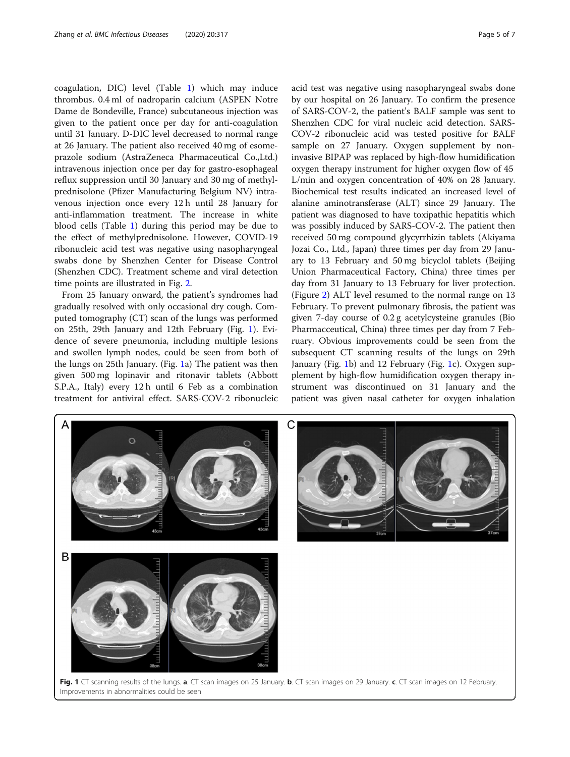<span id="page-4-0"></span>coagulation, DIC) level (Table [1](#page-2-0)) which may induce thrombus. 0.4 ml of nadroparin calcium (ASPEN Notre Dame de Bondeville, France) subcutaneous injection was given to the patient once per day for anti-coagulation until 31 January. D-DIC level decreased to normal range at 26 January. The patient also received 40 mg of esomeprazole sodium (AstraZeneca Pharmaceutical Co.,Ltd.) intravenous injection once per day for gastro-esophageal reflux suppression until 30 January and 30 mg of methylprednisolone (Pfizer Manufacturing Belgium NV) intravenous injection once every 12 h until 28 January for anti-inflammation treatment. The increase in white blood cells (Table [1\)](#page-2-0) during this period may be due to the effect of methylprednisolone. However, COVID-19 ribonucleic acid test was negative using nasopharyngeal swabs done by Shenzhen Center for Disease Control (Shenzhen CDC). Treatment scheme and viral detection time points are illustrated in Fig. [2.](#page-5-0)

From 25 January onward, the patient's syndromes had gradually resolved with only occasional dry cough. Computed tomography (CT) scan of the lungs was performed on 25th, 29th January and 12th February (Fig. 1). Evidence of severe pneumonia, including multiple lesions and swollen lymph nodes, could be seen from both of the lungs on 25th January. (Fig. 1a) The patient was then given 500 mg lopinavir and ritonavir tablets (Abbott S.P.A., Italy) every 12 h until 6 Feb as a combination treatment for antiviral effect. SARS-COV-2 ribonucleic acid test was negative using nasopharyngeal swabs done by our hospital on 26 January. To confirm the presence of SARS-COV-2, the patient's BALF sample was sent to Shenzhen CDC for viral nucleic acid detection. SARS-COV-2 ribonucleic acid was tested positive for BALF sample on 27 January. Oxygen supplement by noninvasive BIPAP was replaced by high-flow humidification oxygen therapy instrument for higher oxygen flow of 45 L/min and oxygen concentration of 40% on 28 January. Biochemical test results indicated an increased level of alanine aminotransferase (ALT) since 29 January. The patient was diagnosed to have toxipathic hepatitis which was possibly induced by SARS-COV-2. The patient then received 50 mg compound glycyrrhizin tablets (Akiyama Jozai Co., Ltd., Japan) three times per day from 29 January to 13 February and 50 mg bicyclol tablets (Beijing Union Pharmaceutical Factory, China) three times per day from 31 January to 13 February for liver protection. (Figure [2\)](#page-5-0) ALT level resumed to the normal range on 13 February. To prevent pulmonary fibrosis, the patient was given 7-day course of 0.2 g acetylcysteine granules (Bio Pharmacceutical, China) three times per day from 7 February. Obvious improvements could be seen from the subsequent CT scanning results of the lungs on 29th January (Fig. 1b) and 12 February (Fig. 1c). Oxygen supplement by high-flow humidification oxygen therapy instrument was discontinued on 31 January and the patient was given nasal catheter for oxygen inhalation

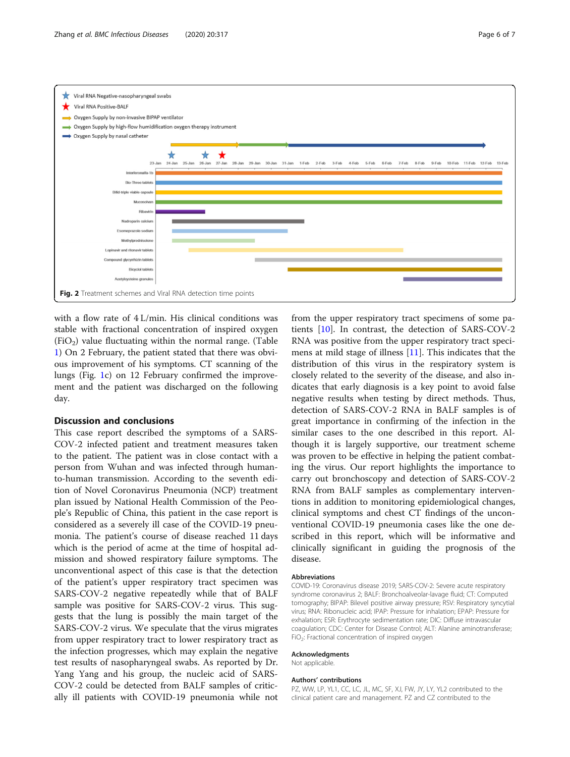<span id="page-5-0"></span>

with a flow rate of 4 L/min. His clinical conditions was stable with fractional concentration of inspired oxygen  $(FiO<sub>2</sub>)$  value fluctuating within the normal range. (Table [1\)](#page-2-0) On 2 February, the patient stated that there was obvious improvement of his symptoms. CT scanning of the lungs (Fig. [1](#page-4-0)c) on 12 February confirmed the improvement and the patient was discharged on the following day.

#### Discussion and conclusions

This case report described the symptoms of a SARS-COV-2 infected patient and treatment measures taken to the patient. The patient was in close contact with a person from Wuhan and was infected through humanto-human transmission. According to the seventh edition of Novel Coronavirus Pneumonia (NCP) treatment plan issued by National Health Commission of the People's Republic of China, this patient in the case report is considered as a severely ill case of the COVID-19 pneumonia. The patient's course of disease reached 11 days which is the period of acme at the time of hospital admission and showed respiratory failure symptoms. The unconventional aspect of this case is that the detection of the patient's upper respiratory tract specimen was SARS-COV-2 negative repeatedly while that of BALF sample was positive for SARS-COV-2 virus. This suggests that the lung is possibly the main target of the SARS-COV-2 virus. We speculate that the virus migrates from upper respiratory tract to lower respiratory tract as the infection progresses, which may explain the negative test results of nasopharyngeal swabs. As reported by Dr. Yang Yang and his group, the nucleic acid of SARS-COV-2 could be detected from BALF samples of critically ill patients with COVID-19 pneumonia while not

from the upper respiratory tract specimens of some patients [\[10](#page-6-0)]. In contrast, the detection of SARS-COV-2 RNA was positive from the upper respiratory tract specimens at mild stage of illness [[11\]](#page-6-0). This indicates that the distribution of this virus in the respiratory system is closely related to the severity of the disease, and also indicates that early diagnosis is a key point to avoid false negative results when testing by direct methods. Thus, detection of SARS-COV-2 RNA in BALF samples is of great importance in confirming of the infection in the similar cases to the one described in this report. Although it is largely supportive, our treatment scheme was proven to be effective in helping the patient combating the virus. Our report highlights the importance to carry out bronchoscopy and detection of SARS-COV-2 RNA from BALF samples as complementary interventions in addition to monitoring epidemiological changes, clinical symptoms and chest CT findings of the unconventional COVID-19 pneumonia cases like the one described in this report, which will be informative and clinically significant in guiding the prognosis of the disease.

#### Abbreviations

COVID-19: Coronavirus disease 2019; SARS-COV-2: Severe acute respiratory syndrome coronavirus 2; BALF: Bronchoalveolar-lavage fluid; CT: Computed tomography; BIPAP: Bilevel positive airway pressure; RSV: Respiratory syncytial virus; RNA: Ribonucleic acid; IPAP: Pressure for inhalation; EPAP: Pressure for exhalation; ESR: Erythrocyte sedimentation rate; DIC: Diffuse intravascular coagulation; CDC: Center for Disease Control; ALT: Alanine aminotransferase;  $FiO<sub>2</sub>$ : Fractional concentration of inspired oxygen

#### Acknowledgments

Not applicable.

#### Authors' contributions

PZ, WW, LP, YL1, CC, LC, JL, MC, SF, XJ, FW, JY, LY, YL2 contributed to the clinical patient care and management. PZ and CZ contributed to the